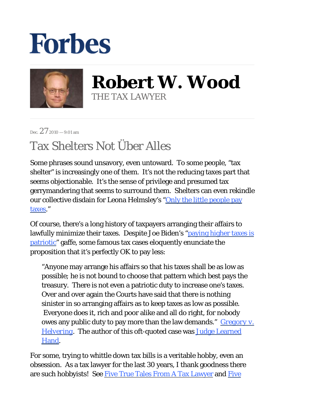## **Forbes**



**Robert W. Wood** THE TAX LAWYER

Dec.  $27_{2010} - 9:01$  am

## Tax Shelters Not Über Alles

Some phrases sound unsavory, even untoward. To some people, "tax shelter" is increasingly one of them. It's not the reducing taxes part that seems objectionable. It's the sense of privilege and presumed tax gerrymandering that seems to surround them. Shelters can even rekindle our collective disdain for Leona Helmsley's "Only the little people pay [taxes](http://topics.nytimes.com/top/reference/timestopics/people/h/leona_helmsley/index.html)."

Of course, there's a long history of taxpayers arranging their affairs to lawfully minimize their taxes. Despite Joe Biden's ["paying higher taxes is](http://www.cbsnews.com/stories/2008/09/18/politics/main4457026.shtml) [patriotic](http://www.cbsnews.com/stories/2008/09/18/politics/main4457026.shtml)" gaffe, some famous tax cases eloquently enunciate the proposition that it's perfectly OK to pay less:

"Anyone may arrange his affairs so that his taxes shall be as low as possible; he is not bound to choose that pattern which best pays the treasury. There is not even a patriotic duty to increase one's taxes. Over and over again the Courts have said that there is nothing sinister in so arranging affairs as to keep taxes as low as possible. Everyone does it, rich and poor alike and all do right, for nobody owes any public duty to pay more than the law demands." *[Gregory v.](http://scholar.google.com/scholar_case?case=12073569067243909596&hl=en&as_sdt=2&as_vis=1&oi=scholar)  [Helvering](http://scholar.google.com/scholar_case?case=12073569067243909596&hl=en&as_sdt=2&as_vis=1&oi=scholar)*. The author of this oft-quoted case was [Judge Learned](http://quotes.liberty-tree.ca/quotes_by/judge+learned+hand)  [Hand](http://quotes.liberty-tree.ca/quotes_by/judge+learned+hand).

For some, trying to whittle down tax bills is a veritable hobby, even an obsession. As a tax lawyer for the last 30 years, I thank goodness there are such hobbyists! See [Five True Tales From A Tax Lawyer](http://www.forbes.com/2010/06/09/tax-tales-irs-sex-marriage-wrongful-imprisonment-personal-finance-robert-wood.html) and Five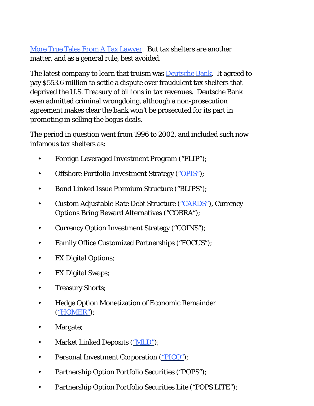[More True Tales From A Tax Lawyer.](http://www.forbes.com/2010/08/30/tax-lawyer-tales-independent-contractor-personal-finance-robert-wood.html) But tax shelters are another matter, and as a general rule, best avoided.

The latest company to learn that truism was **Deutsche Bank.** It agreed to pay \$553.6 million to settle a dispute over fraudulent tax shelters that deprived the U.S. Treasury of billions in tax revenues. Deutsche Bank even admitted criminal wrongdoing, although a non-prosecution agreement makes clear the bank won't be prosecuted for its part in promoting in selling the bogus deals.

The period in question went from 1996 to 2002, and included such now infamous tax shelters as:

- Foreign Leveraged Investment Program ("FLIP");
- Offshore Portfolio Investment Strategy [\("OPIS"](http://www.investopedia.com/terms/o/opis.asp));
- Bond Linked Issue Premium Structure ("BLIPS"):
- Custom Adjustable Rate Debt Structure (["CARDS"\)](http://www.investopedia.com/terms/c/cards.asp), Currency Options Bring Reward Alternatives ("COBRA"); •
- Currency Option Investment Strategy ("COINS");
- Family Office Customized Partnerships ("FOCUS");
- FX Digital Options;
- FX Digital Swaps;
- Treasury Shorts;
- Hedge Option Monetization of Economic Remainder [\("HOMER"](http://www.nytimes.com/2008/11/17/business/17shelter.html)); •
- Margate;
- Market Linked Deposits (["MLD"\)](http://www.bankingglossary.net/definition/621-Market_Linked_Deposit_MLD);
- Personal Investment Corporation [\("PICO"](http://www.irs.gov/businesses/small/article/0,,id=106572,00.html));
- Partnership Option Portfolio Securities ("POPS");
- Partnership Option Portfolio Securities Lite ("POPS LITE");